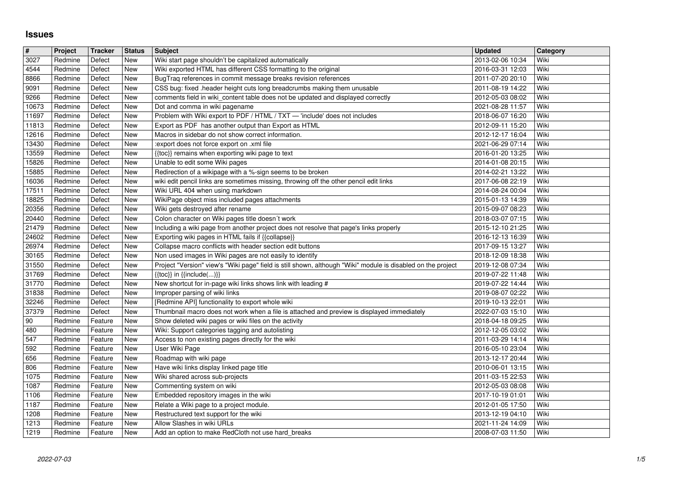## **Issues**

| $\overline{\mathbf{r}}$ | Project            | <b>Tracker</b>     | <b>Status</b>     | <b>Subject</b>                                                                                                                                                      | <b>Updated</b>                       | Category     |
|-------------------------|--------------------|--------------------|-------------------|---------------------------------------------------------------------------------------------------------------------------------------------------------------------|--------------------------------------|--------------|
| 3027<br>4544            | Redmine<br>Redmine | Defect<br>Defect   | New<br>New        | Wiki start page shouldn't be capitalized automatically<br>Wiki exported HTML has different CSS formatting to the original                                           | 2013-02-06 10:34<br>2016-03-31 12:03 | Wiki<br>Wiki |
| 8866                    | Redmine            | Defect             | New               | BugTraq references in commit message breaks revision references                                                                                                     | 2011-07-20 20:10                     | Wiki         |
| 9091<br>9266            | Redmine<br>Redmine | Defect<br>Defect   | <b>New</b><br>New | CSS bug: fixed .header height cuts long breadcrumbs making them unusable<br>comments field in wiki_content table does not be updated and displayed correctly        | 2011-08-19 14:22<br>2012-05-03 08:02 | Wiki<br>Wiki |
| 10673                   | Redmine            | Defect             | New               | Dot and comma in wiki pagename                                                                                                                                      | 2021-08-28 11:57                     | Wiki         |
| 11697<br>11813          | Redmine<br>Redmine | Defect<br>Defect   | New<br>New        | Problem with Wiki export to PDF / HTML / TXT - 'include' does not includes<br>Export as PDF has another output than Export as HTML                                  | 2018-06-07 16:20<br>2012-09-11 15:20 | Wiki<br>Wiki |
| 12616                   | Redmine            | Defect             | <b>New</b>        | Macros in sidebar do not show correct information.                                                                                                                  | 2012-12-17 16:04                     | Wiki         |
| 13430<br>13559          | Redmine<br>Redmine | Defect<br>Defect   | New<br><b>New</b> | :export does not force export on .xml file<br>{{toc}} remains when exporting wiki page to text                                                                      | 2021-06-29 07:14<br>2016-01-20 13:25 | Wiki<br>Wiki |
| 15826                   | Redmine            | Defect             | New               | Unable to edit some Wiki pages                                                                                                                                      | 2014-01-08 20:15                     | Wiki         |
| 15885                   | Redmine            | Defect             | New               | Redirection of a wikipage with a %-sign seems to be broken                                                                                                          | 2014-02-21 13:22                     | Wiki         |
| 16036<br>17511          | Redmine<br>Redmine | Defect<br>Defect   | New<br>New        | wiki edit pencil links are sometimes missing, throwing off the other pencil edit links<br>Wiki URL 404 when using markdown                                          | 2017-06-08 22:19<br>2014-08-24 00:04 | Wiki<br>Wiki |
| 18825                   | Redmine            | Defect             | New               | WikiPage object miss included pages attachments                                                                                                                     | 2015-01-13 14:39                     | Wiki         |
| 20356<br>20440          | Redmine<br>Redmine | Defect<br>Defect   | New<br>New        | Wiki gets destroyed after rename<br>Colon character on Wiki pages title doesn't work                                                                                | 2015-09-07 08:23<br>2018-03-07 07:15 | Wiki<br>Wiki |
| 21479                   | Redmine            | Defect             | New               | Including a wiki page from another project does not resolve that page's links properly                                                                              | 2015-12-10 21:25                     | Wiki         |
| 24602<br>26974          | Redmine<br>Redmine | Defect<br>Defect   | New<br>New        | Exporting wiki pages in HTML fails if {{collapse}}<br>Collapse macro conflicts with header section edit buttons                                                     | 2016-12-13 16:39<br>2017-09-15 13:27 | Wiki<br>Wiki |
| 30165                   | Redmine            | Defect             | New               | Non used images in Wiki pages are not easily to identify                                                                                                            | 2018-12-09 18:38                     | Wiki         |
| 31550<br>31769          | Redmine<br>Redmine | Defect<br>Defect   | New<br>New        | Project "Version" view's "Wiki page" field is still shown, although "Wiki" module is disabled on the project<br>$\{\{\text{toc}\}\}\$ in $\{\{\text{include}()\}\}$ | 2019-12-08 07:34<br>2019-07-22 11:48 | Wiki<br>Wiki |
| 31770                   | Redmine            | Defect             | New               | New shortcut for in-page wiki links shows link with leading #                                                                                                       | 2019-07-22 14:44                     | Wiki         |
| 31838<br>32246          | Redmine<br>Redmine | Defect<br>Defect   | <b>New</b><br>New | Improper parsing of wiki links<br>[Redmine API] functionality to export whole wiki                                                                                  | 2019-08-07 02:22<br>2019-10-13 22:01 | Wiki<br>Wiki |
| 37379                   | Redmine            | Defect             | New               | Thumbnail macro does not work when a file is attached and preview is displayed immediately                                                                          | 2022-07-03 15:10                     | Wiki         |
| 90<br>480               | Redmine<br>Redmine | Feature<br>Feature | New<br>New        | Show deleted wiki pages or wiki files on the activity<br>Wiki: Support categories tagging and autolisting                                                           | 2018-04-18 09:25<br>2012-12-05 03:02 | Wiki<br>Wiki |
| 547                     | Redmine            | Feature            | New               | Access to non existing pages directly for the wiki                                                                                                                  | 2011-03-29 14:14                     | Wiki         |
| 592<br>656              | Redmine<br>Redmine | Feature<br>Feature | New<br>New        | User Wiki Page<br>Roadmap with wiki page                                                                                                                            | 2016-05-10 23:04<br>2013-12-17 20:44 | Wiki<br>Wiki |
| 806                     | Redmine            | Feature            | New               | Have wiki links display linked page title                                                                                                                           | 2010-06-01 13:15                     | Wiki         |
| 1075<br>1087            | Redmine<br>Redmine | Feature<br>Feature | New<br>New        | Wiki shared across sub-projects<br>Commenting system on wiki                                                                                                        | 2011-03-15 22:53<br>2012-05-03 08:08 | Wiki<br>Wiki |
| 1106                    | Redmine            | Feature            | New               | Embedded repository images in the wiki                                                                                                                              | 2017-10-19 01:01                     | Wiki         |
| 1187<br>1208            | Redmine<br>Redmine | Feature<br>Feature | <b>New</b><br>New | Relate a Wiki page to a project module.<br>Restructured text support for the wiki                                                                                   | 2012-01-05 17:50<br>2013-12-19 04:10 | Wiki<br>Wiki |
| 1213<br>1219            | Redmine<br>Redmine | Feature            | New<br>New        | Allow Slashes in wiki URLs<br>Add an option to make RedCloth not use hard_breaks                                                                                    | 2021-11-24 14:09<br>2008-07-03 11:50 | Wiki<br>Wiki |
|                         |                    | Feature            |                   |                                                                                                                                                                     |                                      |              |
|                         |                    |                    |                   |                                                                                                                                                                     |                                      |              |
|                         |                    |                    |                   |                                                                                                                                                                     |                                      |              |
|                         |                    |                    |                   |                                                                                                                                                                     |                                      |              |
|                         |                    |                    |                   |                                                                                                                                                                     |                                      |              |
|                         |                    |                    |                   |                                                                                                                                                                     |                                      |              |
|                         |                    |                    |                   |                                                                                                                                                                     |                                      |              |
|                         |                    |                    |                   |                                                                                                                                                                     |                                      |              |
|                         |                    |                    |                   |                                                                                                                                                                     |                                      |              |
|                         |                    |                    |                   |                                                                                                                                                                     |                                      |              |
|                         |                    |                    |                   |                                                                                                                                                                     |                                      |              |
|                         |                    |                    |                   |                                                                                                                                                                     |                                      |              |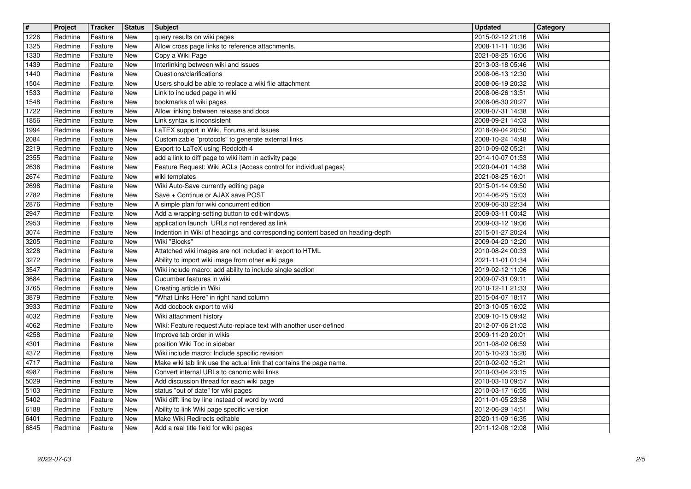| $\overline{\mathbf{H}}$<br>1226 | Project<br>Redmine | <b>Tracker</b><br>Feature | <b>Status</b><br>New     | <b>Subject</b>                                                                                                                 | <b>Updated</b><br>2015-02-12 21:16   | Category<br>Wiki |
|---------------------------------|--------------------|---------------------------|--------------------------|--------------------------------------------------------------------------------------------------------------------------------|--------------------------------------|------------------|
| 1325                            | Redmine            | Feature                   | <b>New</b>               | query results on wiki pages<br>Allow cross page links to reference attachments.                                                | 2008-11-11 10:36                     | Wiki             |
| 1330<br>1439                    | Redmine<br>Redmine | Feature<br>Feature        | <b>New</b><br><b>New</b> | Copy a Wiki Page<br>Interlinking between wiki and issues                                                                       | 2021-08-25 16:06<br>2013-03-18 05:46 | Wiki<br>Wiki     |
| 1440                            | Redmine            | Feature                   | <b>New</b>               | Questions/clarifications                                                                                                       | 2008-06-13 12:30                     | Wiki             |
| 1504<br>1533                    | Redmine<br>Redmine | Feature<br>Feature        | New<br><b>New</b>        | Users should be able to replace a wiki file attachment<br>Link to included page in wiki                                        | 2008-06-19 20:32<br>2008-06-26 13:51 | Wiki<br>Wiki     |
| 1548                            | Redmine            | Feature                   | <b>New</b>               | bookmarks of wiki pages                                                                                                        | 2008-06-30 20:27                     | Wiki             |
| 1722<br>1856                    | Redmine<br>Redmine | Feature<br>Feature        | <b>New</b><br><b>New</b> | Allow linking between release and docs<br>Link syntax is inconsistent                                                          | 2008-07-31 14:38<br>2008-09-21 14:03 | Wiki<br>Wiki     |
| 1994                            | Redmine            | Feature                   | New                      | LaTEX support in Wiki, Forums and Issues                                                                                       | 2018-09-04 20:50                     | Wiki             |
| 2084<br>2219                    | Redmine<br>Redmine | Feature<br>Feature        | New<br><b>New</b>        | Customizable "protocols" to generate external links<br>Export to LaTeX using Redcloth 4                                        | 2008-10-24 14:48<br>2010-09-02 05:21 | Wiki<br>Wiki     |
| 2355                            | Redmine            | Feature                   | <b>New</b>               | add a link to diff page to wiki item in activity page                                                                          | 2014-10-07 01:53                     | Wiki             |
| 2636<br>2674                    | Redmine<br>Redmine | Feature<br>Feature        | <b>New</b><br><b>New</b> | Feature Request: Wiki ACLs (Access control for individual pages)<br>wiki templates                                             | 2020-04-01 14:38<br>2021-08-25 16:01 | Wiki<br>Wiki     |
| 2698                            | Redmine            | Feature                   | <b>New</b>               | Wiki Auto-Save currently editing page                                                                                          | 2015-01-14 09:50                     | Wiki             |
| 2782<br>2876                    | Redmine<br>Redmine | Feature<br>Feature        | <b>New</b><br><b>New</b> | Save + Continue or AJAX save POST<br>A simple plan for wiki concurrent edition                                                 | 2014-06-25 15:03<br>2009-06-30 22:34 | Wiki<br>Wiki     |
| 2947                            | Redmine            | Feature                   | <b>New</b>               | Add a wrapping-setting button to edit-windows                                                                                  | 2009-03-11 00:42                     | Wiki             |
| 2953<br>3074                    | Redmine<br>Redmine | Feature<br>Feature        | <b>New</b><br>New        | application launch URLs not rendered as link<br>Indention in Wiki of headings and corresponding content based on heading-depth | 2009-03-12 19:06<br>2015-01-27 20:24 | Wiki<br>Wiki     |
| 3205                            | Redmine            | Feature                   | New                      | Wiki "Blocks"                                                                                                                  | 2009-04-20 12:20                     | Wiki             |
| 3228<br>3272                    | Redmine<br>Redmine | Feature<br>Feature        | <b>New</b><br><b>New</b> | Attatched wiki images are not included in export to HTML<br>Ability to import wiki image from other wiki page                  | 2010-08-24 00:33<br>2021-11-01 01:34 | Wiki<br>Wiki     |
| 3547                            | Redmine            | Feature                   | <b>New</b>               | Wiki include macro: add ability to include single section                                                                      | 2019-02-12 11:06                     | Wiki             |
| 3684<br>3765                    | Redmine<br>Redmine | Feature<br>Feature        | <b>New</b><br><b>New</b> | Cucumber features in wiki<br>Creating article in Wiki                                                                          | 2009-07-31 09:11<br>2010-12-11 21:33 | Wiki<br>Wiki     |
| 3879                            | Redmine            | Feature                   | New                      | "What Links Here" in right hand column                                                                                         | 2015-04-07 18:17                     | Wiki             |
| 3933<br>4032                    | Redmine<br>Redmine | Feature<br>Feature        | New<br><b>New</b>        | Add docbook export to wiki<br>Wiki attachment history                                                                          | 2013-10-05 16:02<br>2009-10-15 09:42 | Wiki<br>Wiki     |
| 4062                            | Redmine            | Feature                   | New                      | Wiki: Feature request:Auto-replace text with another user-defined                                                              | 2012-07-06 21:02                     | Wiki             |
| 4258<br>4301                    | Redmine<br>Redmine | Feature<br>Feature        | <b>New</b><br><b>New</b> | Improve tab order in wikis<br>position Wiki Toc in sidebar                                                                     | 2009-11-20 20:01<br>2011-08-02 06:59 | Wiki<br>Wiki     |
| 4372                            | Redmine            | Feature                   | <b>New</b>               | Wiki include macro: Include specific revision                                                                                  | 2015-10-23 15:20                     | Wiki             |
| 4717<br>4987                    | Redmine<br>Redmine | Feature<br>Feature        | <b>New</b><br>New        | Make wiki tab link use the actual link that contains the page name.<br>Convert internal URLs to canonic wiki links             | 2010-02-02 15:21<br>2010-03-04 23:15 | Wiki<br>Wiki     |
| 5029                            | Redmine<br>Redmine | Feature                   | New<br>New               | Add discussion thread for each wiki page                                                                                       | 2010-03-10 09:57                     | Wiki<br>Wiki     |
| 5103<br>5402                    | Redmine            | Feature<br>Feature        | <b>New</b>               | status "out of date" for wiki pages<br>Wiki diff: line by line instead of word by word                                         | 2010-03-17 16:55<br>2011-01-05 23:58 | Wiki             |
| 6188<br>6401                    | Redmine<br>Redmine | Feature<br>Feature        | New<br>New               | Ability to link Wiki page specific version<br>Make Wiki Redirects editable                                                     | 2012-06-29 14:51<br>2020-11-09 16:35 | Wiki<br>Wiki     |
| 6845                            | Redmine            | Feature                   | New                      | Add a real title field for wiki pages                                                                                          | 2011-12-08 12:08                     | Wiki             |
|                                 |                    |                           |                          |                                                                                                                                |                                      |                  |
|                                 |                    |                           |                          |                                                                                                                                |                                      |                  |
|                                 |                    |                           |                          |                                                                                                                                |                                      |                  |
|                                 |                    |                           |                          |                                                                                                                                |                                      |                  |
|                                 |                    |                           |                          |                                                                                                                                |                                      |                  |
|                                 |                    |                           |                          |                                                                                                                                |                                      |                  |
|                                 |                    |                           |                          |                                                                                                                                |                                      |                  |
|                                 |                    |                           |                          |                                                                                                                                |                                      |                  |
|                                 |                    |                           |                          |                                                                                                                                |                                      |                  |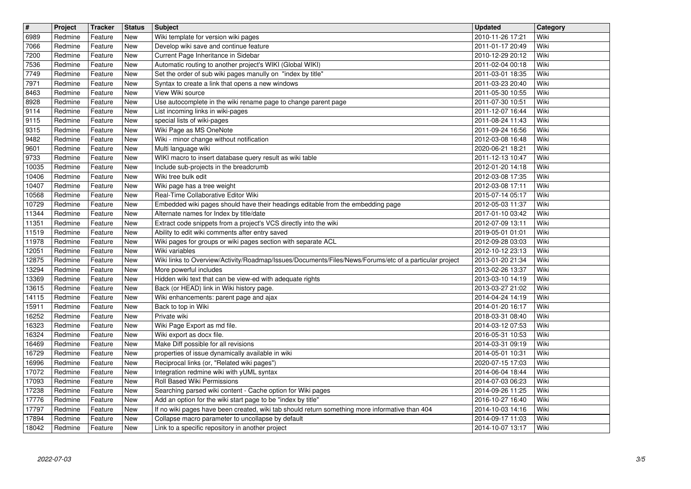| $\overline{\mathbf{H}}$ | Project            | <b>Tracker</b>     | <b>Status</b>            | <b>Subject</b>                                                                                                                                      | <b>Updated</b>                       | Category     |
|-------------------------|--------------------|--------------------|--------------------------|-----------------------------------------------------------------------------------------------------------------------------------------------------|--------------------------------------|--------------|
| 6989<br>7066            | Redmine<br>Redmine | Feature<br>Feature | New<br>New               | Wiki template for version wiki pages<br>Develop wiki save and continue feature                                                                      | 2010-11-26 17:21<br>2011-01-17 20:49 | Wiki<br>Wiki |
| 7200<br>7536            | Redmine<br>Redmine | Feature<br>Feature | <b>New</b><br><b>New</b> | Current Page Inheritance in Sidebar<br>Automatic routing to another project's WIKI (Global WIKI)                                                    | 2010-12-29 20:12<br>2011-02-04 00:18 | Wiki<br>Wiki |
| 7749                    | Redmine            | Feature            | <b>New</b>               | Set the order of sub wiki pages manully on "index by title"                                                                                         | 2011-03-01 18:35                     | Wiki         |
| 7971<br>8463            | Redmine<br>Redmine | Feature<br>Feature | <b>New</b><br><b>New</b> | Syntax to create a link that opens a new windows<br>View Wiki source                                                                                | 2011-03-23 20:40<br>2011-05-30 10:55 | Wiki<br>Wiki |
| 8928                    | Redmine            | Feature            | <b>New</b>               | Use autocomplete in the wiki rename page to change parent page                                                                                      | 2011-07-30 10:51                     | Wiki         |
| 9114<br>9115            | Redmine<br>Redmine | Feature<br>Feature | <b>New</b><br><b>New</b> | List incoming links in wiki-pages<br>special lists of wiki-pages                                                                                    | 2011-12-07 16:44<br>2011-08-24 11:43 | Wiki<br>Wiki |
| 9315                    | Redmine            | Feature            | New                      | Wiki Page as MS OneNote                                                                                                                             | 2011-09-24 16:56                     | Wiki         |
| 9482<br>9601            | Redmine<br>Redmine | Feature<br>Feature | <b>New</b><br><b>New</b> | Wiki - minor change without notification<br>Multi language wiki                                                                                     | 2012-03-08 16:48<br>2020-06-21 18:21 | Wiki<br>Wiki |
| 9733                    | Redmine            | Feature            | New                      | WIKI macro to insert database query result as wiki table                                                                                            | 2011-12-13 10:47                     | Wiki         |
| 10035<br>10406          | Redmine<br>Redmine | Feature<br>Feature | New<br><b>New</b>        | Include sub-projects in the breadcrumb<br>Wiki tree bulk edit                                                                                       | 2012-01-20 14:18<br>2012-03-08 17:35 | Wiki<br>Wiki |
| 10407                   | Redmine            | Feature            | <b>New</b>               | Wiki page has a tree weight                                                                                                                         | 2012-03-08 17:11                     | Wiki         |
| 10568<br>10729          | Redmine<br>Redmine | Feature<br>Feature | <b>New</b><br>New        | Real-Time Collaborative Editor Wiki<br>Embedded wiki pages should have their headings editable from the embedding page                              | 2015-07-14 05:17<br>2012-05-03 11:37 | Wiki<br>Wiki |
| 11344                   | Redmine            | Feature            | <b>New</b>               | Alternate names for Index by title/date                                                                                                             | 2017-01-10 03:42                     | Wiki         |
| 11351<br>11519          | Redmine<br>Redmine | Feature<br>Feature | <b>New</b><br><b>New</b> | Extract code snippets from a project's VCS directly into the wiki<br>Ability to edit wiki comments after entry saved                                | 2012-07-09 13:11<br>2019-05-01 01:01 | Wiki<br>Wiki |
| 11978                   | Redmine            | Feature            | New                      | Wiki pages for groups or wiki pages section with separate ACL                                                                                       | 2012-09-28 03:03                     | Wiki         |
| 12051<br>12875          | Redmine<br>Redmine | Feature<br>Feature | <b>New</b><br><b>New</b> | Wiki variables<br>Wiki links to Overview/Activity/Roadmap/Issues/Documents/Files/News/Forums/etc of a particular project                            | 2012-10-12 23:13<br>2013-01-20 21:34 | Wiki<br>Wiki |
| 13294                   | Redmine            | Feature            | <b>New</b>               | More powerful includes                                                                                                                              | 2013-02-26 13:37                     | Wiki         |
| 13369<br>13615          | Redmine<br>Redmine | Feature<br>Feature | <b>New</b><br><b>New</b> | Hidden wiki text that can be view-ed with adequate rights<br>Back (or HEAD) link in Wiki history page.                                              | 2013-03-10 14:19<br>2013-03-27 21:02 | Wiki<br>Wiki |
| 14115                   | Redmine            | Feature            | New                      | Wiki enhancements: parent page and ajax                                                                                                             | 2014-04-24 14:19                     | Wiki         |
| 15911<br>16252          | Redmine<br>Redmine | Feature<br>Feature | New<br><b>New</b>        | Back to top in Wiki<br>Private wiki                                                                                                                 | 2014-01-20 16:17<br>2018-03-31 08:40 | Wiki<br>Wiki |
| 16323                   | Redmine            | Feature            | <b>New</b>               | Wiki Page Export as md file.                                                                                                                        | 2014-03-12 07:53                     | Wiki         |
| 16324<br>16469          | Redmine<br>Redmine | Feature<br>Feature | <b>New</b><br>New        | Wiki export as docx file.<br>Make Diff possible for all revisions                                                                                   | 2016-05-31 10:53<br>2014-03-31 09:19 | Wiki<br>Wiki |
| 16729                   | Redmine            | Feature            | <b>New</b>               | properties of issue dynamically available in wiki                                                                                                   | 2014-05-01 10:31                     | Wiki         |
| 16996<br>17072          | Redmine<br>Redmine | Feature<br>Feature | <b>New</b><br>New        | Reciprocal links (or, "Related wiki pages")<br>Integration redmine wiki with yUML syntax                                                            | 2020-07-15 17:03<br>2014-06-04 18:44 | Wiki<br>Wiki |
| 17093                   | Redmine            | Feature            | New<br>New               | Roll Based Wiki Permissions                                                                                                                         | 2014-07-03 06:23                     | Wiki<br>Wiki |
| 17238<br>17776          | Redmine<br>Redmine | Feature<br>Feature | <b>New</b>               | Searching parsed wiki content - Cache option for Wiki pages<br>Add an option for the wiki start page to be "index by title"                         | 2014-09-26 11:25<br>2016-10-27 16:40 | Wiki         |
| 17797<br>17894          | Redmine<br>Redmine | Feature<br>Feature | New<br>New               | If no wiki pages have been created, wiki tab should return something more informative than 404<br>Collapse macro parameter to uncollapse by default | 2014-10-03 14:16<br>2014-09-17 11:03 | Wiki<br>Wiki |
| 18042                   | Redmine            | Feature            | New                      | Link to a specific repository in another project                                                                                                    | 2014-10-07 13:17                     | Wiki         |
|                         |                    |                    |                          |                                                                                                                                                     |                                      |              |
|                         |                    |                    |                          |                                                                                                                                                     |                                      |              |
|                         |                    |                    |                          |                                                                                                                                                     |                                      |              |
|                         |                    |                    |                          |                                                                                                                                                     |                                      |              |
|                         |                    |                    |                          |                                                                                                                                                     |                                      |              |
|                         |                    |                    |                          |                                                                                                                                                     |                                      |              |
|                         |                    |                    |                          |                                                                                                                                                     |                                      |              |
|                         |                    |                    |                          |                                                                                                                                                     |                                      |              |
|                         |                    |                    |                          |                                                                                                                                                     |                                      |              |
|                         |                    |                    |                          |                                                                                                                                                     |                                      |              |
|                         |                    |                    |                          |                                                                                                                                                     |                                      |              |
|                         |                    |                    |                          |                                                                                                                                                     |                                      |              |
|                         |                    |                    |                          |                                                                                                                                                     |                                      |              |
|                         |                    |                    |                          |                                                                                                                                                     |                                      |              |
|                         |                    |                    |                          |                                                                                                                                                     |                                      |              |
|                         |                    |                    |                          |                                                                                                                                                     |                                      |              |
|                         |                    |                    |                          |                                                                                                                                                     |                                      |              |
|                         |                    |                    |                          |                                                                                                                                                     |                                      |              |
|                         |                    |                    |                          |                                                                                                                                                     |                                      |              |
|                         |                    |                    |                          |                                                                                                                                                     |                                      |              |
|                         |                    |                    |                          |                                                                                                                                                     |                                      |              |
|                         |                    |                    |                          |                                                                                                                                                     |                                      |              |
|                         |                    |                    |                          |                                                                                                                                                     |                                      |              |
|                         |                    |                    |                          |                                                                                                                                                     |                                      |              |
|                         |                    |                    |                          |                                                                                                                                                     |                                      |              |
|                         |                    |                    |                          |                                                                                                                                                     |                                      |              |
|                         |                    |                    |                          |                                                                                                                                                     |                                      |              |
|                         |                    |                    |                          |                                                                                                                                                     |                                      |              |
|                         |                    |                    |                          |                                                                                                                                                     |                                      |              |
|                         |                    |                    |                          |                                                                                                                                                     |                                      |              |
|                         |                    |                    |                          |                                                                                                                                                     |                                      |              |
|                         |                    |                    |                          |                                                                                                                                                     |                                      |              |
|                         |                    |                    |                          |                                                                                                                                                     |                                      |              |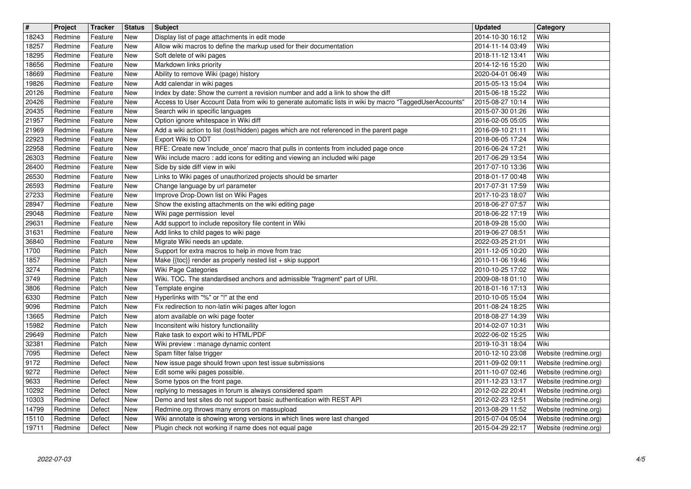| $\overline{\mathbf{H}}$<br>18243 | Project<br>Redmine | <b>Tracker</b><br>Feature | <b>Status</b><br>New     | <b>Subject</b><br>Display list of page attachments in edit mode                                                                                                                              | <b>Updated</b><br>2014-10-30 16:12   | Category<br>Wiki                               |
|----------------------------------|--------------------|---------------------------|--------------------------|----------------------------------------------------------------------------------------------------------------------------------------------------------------------------------------------|--------------------------------------|------------------------------------------------|
| 18257                            | Redmine            | Feature                   | <b>New</b>               | Allow wiki macros to define the markup used for their documentation                                                                                                                          | 2014-11-14 03:49                     | Wiki                                           |
| 18295<br>18656                   | Redmine<br>Redmine | Feature<br>Feature        | <b>New</b><br><b>New</b> | Soft delete of wiki pages<br>Markdown links priority                                                                                                                                         | 2018-11-12 13:41<br>2014-12-16 15:20 | Wiki<br>Wiki                                   |
| 18669                            | Redmine            | Feature                   | New                      | Ability to remove Wiki (page) history                                                                                                                                                        | 2020-04-01 06:49                     | Wiki                                           |
| 19826                            | Redmine            | Feature                   | <b>New</b>               | Add calendar in wiki pages                                                                                                                                                                   | 2015-05-13 15:04                     | Wiki                                           |
| 20126<br>20426                   | Redmine<br>Redmine | Feature<br>Feature        | <b>New</b><br><b>New</b> | Index by date: Show the current a revision number and add a link to show the diff<br>Access to User Account Data from wiki to generate automatic lists in wiki by macro "TaggedUserAccounts' | 2015-06-18 15:22<br>2015-08-27 10:14 | Wiki<br>Wiki                                   |
| 20435                            | Redmine            | Feature                   | <b>New</b>               | Search wiki in specific languages                                                                                                                                                            | 2015-07-30 01:26                     | Wiki                                           |
| 21957<br>21969                   | Redmine<br>Redmine | Feature<br>Feature        | <b>New</b><br><b>New</b> | Option ignore whitespace in Wiki diff<br>Add a wiki action to list (lost/hidden) pages which are not referenced in the parent page                                                           | 2016-02-05 05:05<br>2016-09-10 21:11 | Wiki<br>Wiki                                   |
| 22923                            | Redmine            | Feature                   | <b>New</b>               | Export Wiki to ODT                                                                                                                                                                           | 2018-06-05 17:24                     | Wiki                                           |
| 22958<br>26303                   | Redmine<br>Redmine | Feature<br>Feature        | <b>New</b><br>New        | RFE: Create new 'include_once' macro that pulls in contents from included page once<br>Wiki include macro: add icons for editing and viewing an included wiki page                           | 2016-06-24 17:21<br>2017-06-29 13:54 | Wiki<br>Wiki                                   |
| 26400                            | Redmine            | Feature                   | <b>New</b>               | Side by side diff view in wiki                                                                                                                                                               | 2017-07-10 13:36                     | Wiki                                           |
| 26530<br>26593                   | Redmine<br>Redmine | Feature<br>Feature        | <b>New</b><br><b>New</b> | Links to Wiki pages of unauthorized projects should be smarter<br>Change language by url parameter                                                                                           | 2018-01-17 00:48<br>2017-07-31 17:59 | Wiki<br>Wiki                                   |
| 27233                            | Redmine            | Feature                   | <b>New</b>               | Improve Drop-Down list on Wiki Pages                                                                                                                                                         | 2017-10-23 18:07                     | Wiki                                           |
| 28947<br>29048                   | Redmine<br>Redmine | Feature<br>Feature        | <b>New</b><br><b>New</b> | Show the existing attachments on the wiki editing page<br>Wiki page permission level                                                                                                         | 2018-06-27 07:57<br>2018-06-22 17:19 | Wiki<br>Wiki                                   |
| 29631                            | Redmine<br>Redmine | Feature                   | <b>New</b>               | Add support to include repository file content in Wiki<br>Add links to child pages to wiki page                                                                                              | 2018-09-28 15:00<br>2019-06-27 08:51 | Wiki<br>Wiki                                   |
| 31631<br>36840                   | Redmine            | Feature<br>Feature        | <b>New</b><br>New        | Migrate Wiki needs an update.                                                                                                                                                                | 2022-03-25 21:01                     | Wiki                                           |
| 1700<br>1857                     | Redmine            | Patch                     | New                      | Support for extra macros to help in move from trac                                                                                                                                           | 2011-12-05 10:20                     | Wiki<br>Wiki                                   |
| 3274                             | Redmine<br>Redmine | Patch<br>Patch            | <b>New</b><br><b>New</b> | Make {{toc}} render as properly nested list + skip support<br>Wiki Page Categories                                                                                                           | 2010-11-06 19:46<br>2010-10-25 17:02 | Wiki                                           |
| 3749                             | Redmine            | Patch                     | <b>New</b>               | Wiki. TOC. The standardised anchors and admissible "fragment" part of URI.                                                                                                                   | 2009-08-18 01:10                     | Wiki<br>Wiki                                   |
| 3806<br>6330                     | Redmine<br>Redmine | Patch<br>Patch            | <b>New</b><br><b>New</b> | Template engine<br>Hyperlinks with "%" or "!" at the end                                                                                                                                     | 2018-01-16 17:13<br>2010-10-05 15:04 | Wiki                                           |
| 9096                             | Redmine            | Patch                     | <b>New</b>               | Fix redirection to non-latin wiki pages after logon                                                                                                                                          | 2011-08-24 18:25                     | Wiki                                           |
| 13665<br>15982                   | Redmine<br>Redmine | Patch<br>Patch            | <b>New</b><br>New        | atom available on wiki page footer<br>Inconsitent wiki history functionaility                                                                                                                | 2018-08-27 14:39<br>2014-02-07 10:31 | Wiki<br>Wiki                                   |
| 29649                            | Redmine            | Patch                     | New                      | Rake task to export wiki to HTML/PDF                                                                                                                                                         | 2022-06-02 15:25                     | Wiki                                           |
| 32381<br>7095                    | Redmine<br>Redmine | Patch<br>Defect           | <b>New</b><br><b>New</b> | Wiki preview : manage dynamic content<br>Spam filter false trigger                                                                                                                           | 2019-10-31 18:04<br>2010-12-10 23:08 | Wiki<br>Website (redmine.org)                  |
| 9172                             | Redmine            | Defect                    | <b>New</b>               | New issue page should frown upon test issue submissions                                                                                                                                      | 2011-09-02 09:11                     | Website (redmine.org)                          |
| 9272<br>9633                     | Redmine<br>Redmine | Defect<br>Defect          | New<br>New               | Edit some wiki pages possible.<br>Some typos on the front page.                                                                                                                              | 2011-10-07 02:46<br>2011-12-23 13:17 | Website (redmine.org)<br>Website (redmine.org) |
| 10292                            | Redmine            | Defect                    | New<br><b>New</b>        | replying to messages in forum is always considered spam                                                                                                                                      | 2012-02-22 20:41                     | Website (redmine.org)                          |
| 10303<br>14799                   | Redmine<br>Redmine | Defect<br>Defect          | New                      | Demo and test sites do not support basic authentication with REST API<br>Redmine.org throws many errors on massupload                                                                        | 2012-02-23 12:51<br>2013-08-29 11:52 | Website (redmine.org)<br>Website (redmine.org) |
| 15110<br>19711                   | Redmine<br>Redmine | Defect<br>Defect          | New<br>New               | Wiki annotate is showing wrong versions in which lines were last changed<br>Plugin check not working if name does not equal page                                                             | 2015-07-04 05:04<br>2015-04-29 22:17 | Website (redmine.org)<br>Website (redmine.org) |
|                                  |                    |                           |                          |                                                                                                                                                                                              |                                      |                                                |
|                                  |                    |                           |                          |                                                                                                                                                                                              |                                      |                                                |
|                                  |                    |                           |                          |                                                                                                                                                                                              |                                      |                                                |
|                                  |                    |                           |                          |                                                                                                                                                                                              |                                      |                                                |
|                                  |                    |                           |                          |                                                                                                                                                                                              |                                      |                                                |
|                                  |                    |                           |                          |                                                                                                                                                                                              |                                      |                                                |